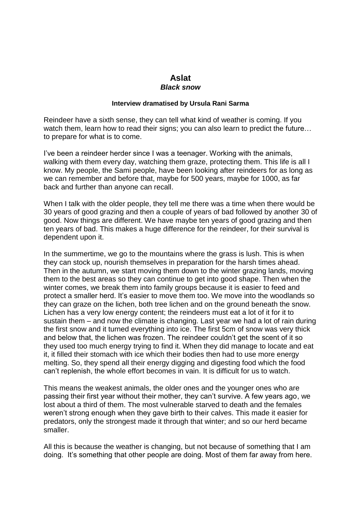## **Aslat**  *Black snow*

## **Interview dramatised by Ursula Rani Sarma**

Reindeer have a sixth sense, they can tell what kind of weather is coming. If you watch them, learn how to read their signs; you can also learn to predict the future... to prepare for what is to come.

I've been a reindeer herder since I was a teenager. Working with the animals, walking with them every day, watching them graze, protecting them. This life is all I know. My people, the Sami people, have been looking after reindeers for as long as we can remember and before that, maybe for 500 years, maybe for 1000, as far back and further than anyone can recall.

When I talk with the older people, they tell me there was a time when there would be 30 years of good grazing and then a couple of years of bad followed by another 30 of good. Now things are different. We have maybe ten years of good grazing and then ten years of bad. This makes a huge difference for the reindeer, for their survival is dependent upon it.

In the summertime, we go to the mountains where the grass is lush. This is when they can stock up, nourish themselves in preparation for the harsh times ahead. Then in the autumn, we start moving them down to the winter grazing lands, moving them to the best areas so they can continue to get into good shape. Then when the winter comes, we break them into family groups because it is easier to feed and protect a smaller herd. It's easier to move them too. We move into the woodlands so they can graze on the lichen, both tree lichen and on the ground beneath the snow. Lichen has a very low energy content; the reindeers must eat a lot of it for it to sustain them – and now the climate is changing. Last year we had a lot of rain during the first snow and it turned everything into ice. The first 5cm of snow was very thick and below that, the lichen was frozen. The reindeer couldn't get the scent of it so they used too much energy trying to find it. When they did manage to locate and eat it, it filled their stomach with ice which their bodies then had to use more energy melting. So, they spend all their energy digging and digesting food which the food can't replenish, the whole effort becomes in vain. It is difficult for us to watch.

This means the weakest animals, the older ones and the younger ones who are passing their first year without their mother, they can't survive. A few years ago, we lost about a third of them. The most vulnerable starved to death and the females weren't strong enough when they gave birth to their calves. This made it easier for predators, only the strongest made it through that winter; and so our herd became smaller.

All this is because the weather is changing, but not because of something that I am doing. It's something that other people are doing. Most of them far away from here.